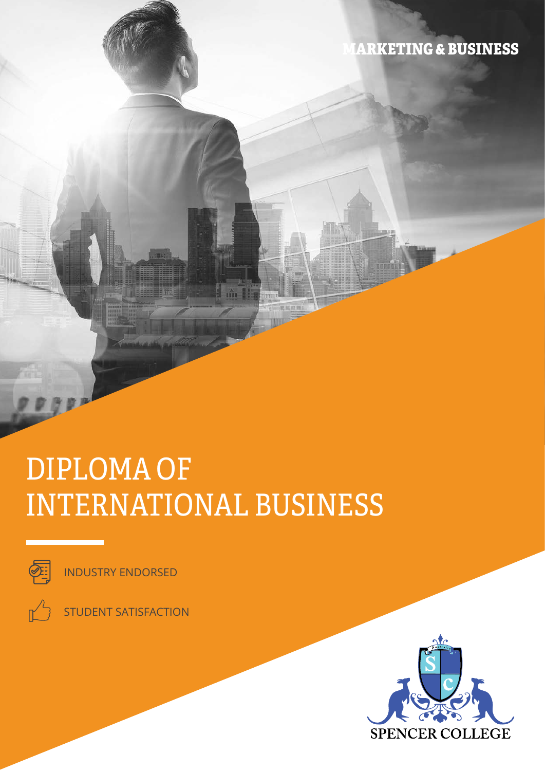**ARKETING & BUSINESS** 

# DIPLOMA OF INTERNATIONAL BUSINESS



INDUSTRY ENDORSED